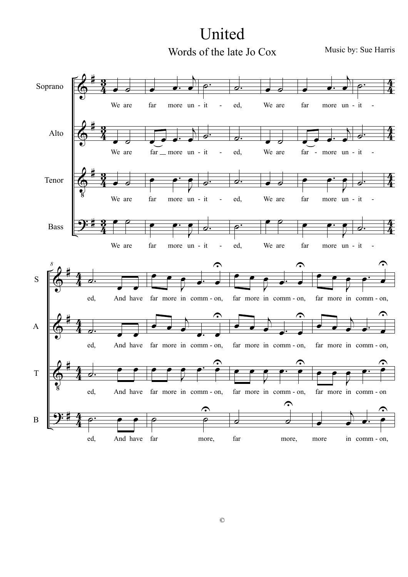## United Words of the late Jo Cox

Music by: Sue Harris